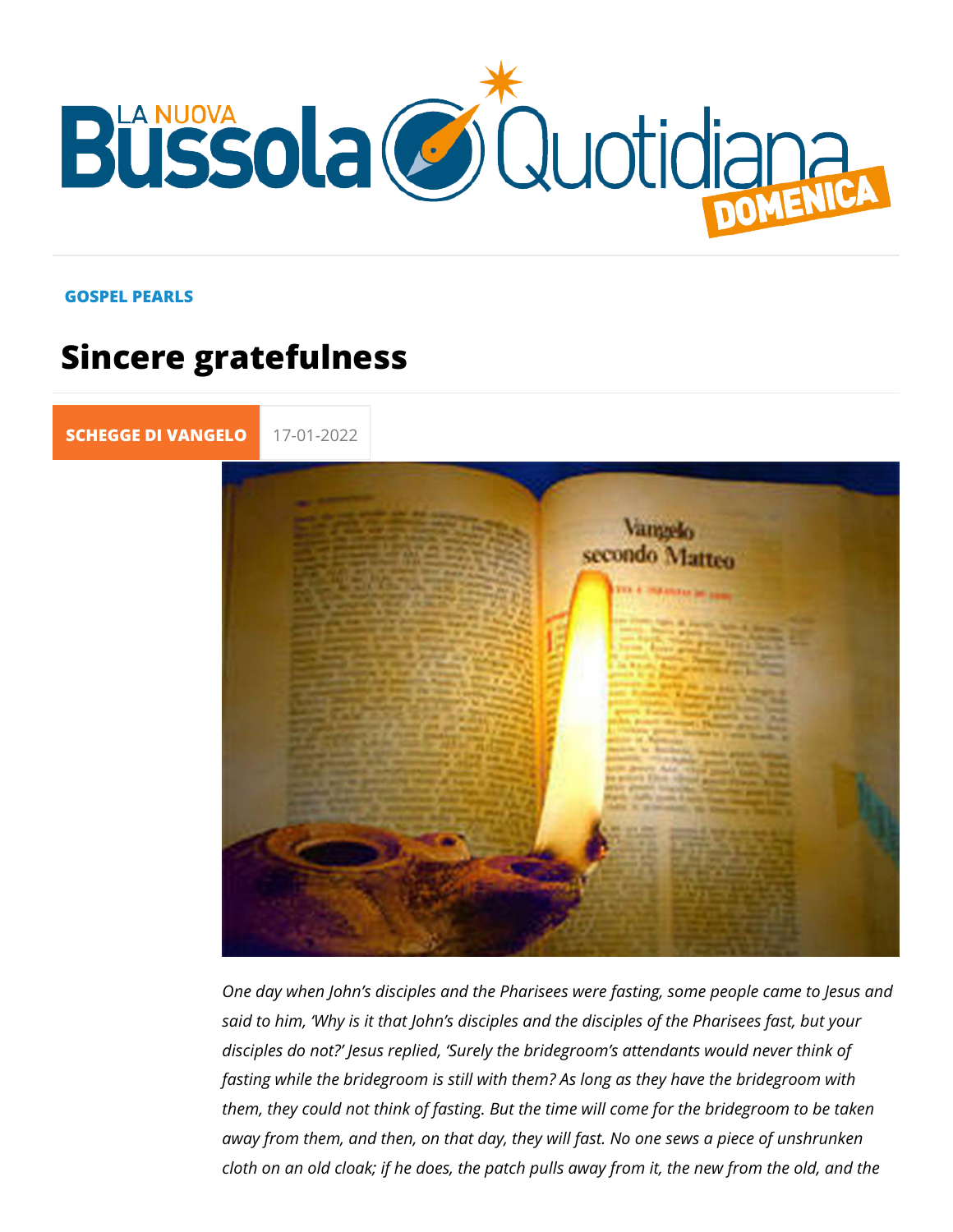## GOSPEL PEARLS

## Sincere gratefulness

[SCHEGGE DI VA](https://lanuovabq.it/it/schegge-di-vangelo) 17-01-2022

One day when John s disciples and the Pharisees were fasting said to him, Why is it that John s disciples and the disciples disciples do not? Jesus replied, Surely the bridegroom s atte fasting while the bridegroom is still with them? As long as the them, they could not think of fasting. But the time will come fo away from them, and then, on that day, they will fast. No one cloth on an old cloak; if he does, the patch pulls away from it,